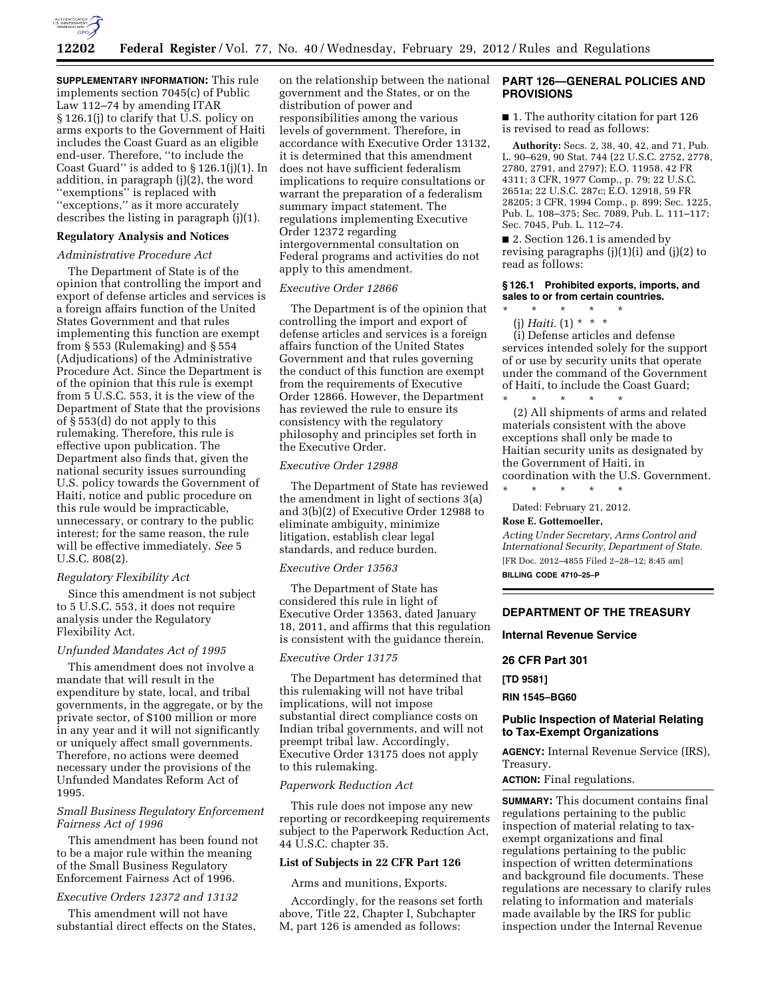

**SUPPLEMENTARY INFORMATION:** This rule implements section 7045(c) of Public Law 112–74 by amending ITAR § 126.1(j) to clarify that U.S. policy on arms exports to the Government of Haiti includes the Coast Guard as an eligible end-user. Therefore, ''to include the Coast Guard'' is added to § 126.1(j)(1). In addition, in paragraph (j)(2), the word ''exemptions'' is replaced with ''exceptions,'' as it more accurately describes the listing in paragraph (j)(1).

## **Regulatory Analysis and Notices**

### *Administrative Procedure Act*

The Department of State is of the opinion that controlling the import and export of defense articles and services is a foreign affairs function of the United States Government and that rules implementing this function are exempt from § 553 (Rulemaking) and § 554 (Adjudications) of the Administrative Procedure Act. Since the Department is of the opinion that this rule is exempt from 5 U.S.C. 553, it is the view of the Department of State that the provisions of § 553(d) do not apply to this rulemaking. Therefore, this rule is effective upon publication. The Department also finds that, given the national security issues surrounding U.S. policy towards the Government of Haiti, notice and public procedure on this rule would be impracticable, unnecessary, or contrary to the public interest; for the same reason, the rule will be effective immediately. *See* 5 U.S.C. 808(2).

### *Regulatory Flexibility Act*

Since this amendment is not subject to 5 U.S.C. 553, it does not require analysis under the Regulatory Flexibility Act.

## *Unfunded Mandates Act of 1995*

This amendment does not involve a mandate that will result in the expenditure by state, local, and tribal governments, in the aggregate, or by the private sector, of \$100 million or more in any year and it will not significantly or uniquely affect small governments. Therefore, no actions were deemed necessary under the provisions of the Unfunded Mandates Reform Act of 1995.

## *Small Business Regulatory Enforcement Fairness Act of 1996*

This amendment has been found not to be a major rule within the meaning of the Small Business Regulatory Enforcement Fairness Act of 1996.

# *Executive Orders 12372 and 13132*

This amendment will not have substantial direct effects on the States,

on the relationship between the national government and the States, or on the distribution of power and responsibilities among the various levels of government. Therefore, in accordance with Executive Order 13132, it is determined that this amendment does not have sufficient federalism implications to require consultations or warrant the preparation of a federalism summary impact statement. The regulations implementing Executive Order 12372 regarding intergovernmental consultation on Federal programs and activities do not apply to this amendment.

### *Executive Order 12866*

The Department is of the opinion that controlling the import and export of defense articles and services is a foreign affairs function of the United States Government and that rules governing the conduct of this function are exempt from the requirements of Executive Order 12866. However, the Department has reviewed the rule to ensure its consistency with the regulatory philosophy and principles set forth in the Executive Order.

#### *Executive Order 12988*

The Department of State has reviewed the amendment in light of sections 3(a) and 3(b)(2) of Executive Order 12988 to eliminate ambiguity, minimize litigation, establish clear legal standards, and reduce burden.

## *Executive Order 13563*

The Department of State has considered this rule in light of Executive Order 13563, dated January 18, 2011, and affirms that this regulation is consistent with the guidance therein.

## *Executive Order 13175*

The Department has determined that this rulemaking will not have tribal implications, will not impose substantial direct compliance costs on Indian tribal governments, and will not preempt tribal law. Accordingly, Executive Order 13175 does not apply to this rulemaking.

### *Paperwork Reduction Act*

This rule does not impose any new reporting or recordkeeping requirements subject to the Paperwork Reduction Act, 44 U.S.C. chapter 35.

## **List of Subjects in 22 CFR Part 126**

Arms and munitions, Exports.

Accordingly, for the reasons set forth above, Title 22, Chapter I, Subchapter M, part 126 is amended as follows:

## **PART 126—GENERAL POLICIES AND PROVISIONS**

■ 1. The authority citation for part 126 is revised to read as follows:

**Authority:** Secs. 2, 38, 40, 42, and 71, Pub. L. 90–629, 90 Stat. 744 (22 U.S.C. 2752, 2778, 2780, 2791, and 2797); E.O. 11958, 42 FR 4311; 3 CFR, 1977 Comp., p. 79; 22 U.S.C. 2651a; 22 U.S.C. 287c; E.O. 12918, 59 FR 28205; 3 CFR, 1994 Comp., p. 899; Sec. 1225, Pub. L. 108–375; Sec. 7089, Pub. L. 111–117; Sec. 7045, Pub. L. 112–74.

■ 2. Section 126.1 is amended by revising paragraphs  $(j)(1)(i)$  and  $(j)(2)$  to read as follows:

### **§ 126.1 Prohibited exports, imports, and sales to or from certain countries.**

\* \* \* \* \*

(j) *Haiti.* (1) \* \* \* (i) Defense articles and defense services intended solely for the support of or use by security units that operate under the command of the Government of Haiti, to include the Coast Guard;

\* \* \* \* \* (2) All shipments of arms and related materials consistent with the above exceptions shall only be made to Haitian security units as designated by the Government of Haiti, in coordination with the U.S. Government.

\* \* \* \* \* Dated: February 21, 2012.

#### **Rose E. Gottemoeller,**

*Acting Under Secretary, Arms Control and International Security, Department of State.*  [FR Doc. 2012–4855 Filed 2–28–12; 8:45 am]

**BILLING CODE 4710–25–P** 

# **DEPARTMENT OF THE TREASURY**

**Internal Revenue Service** 

#### **26 CFR Part 301**

**[TD 9581]** 

**RIN 1545–BG60** 

# **Public Inspection of Material Relating to Tax-Exempt Organizations**

**AGENCY:** Internal Revenue Service (IRS), Treasury.

**ACTION:** Final regulations.

**SUMMARY:** This document contains final regulations pertaining to the public inspection of material relating to taxexempt organizations and final regulations pertaining to the public inspection of written determinations and background file documents. These regulations are necessary to clarify rules relating to information and materials made available by the IRS for public inspection under the Internal Revenue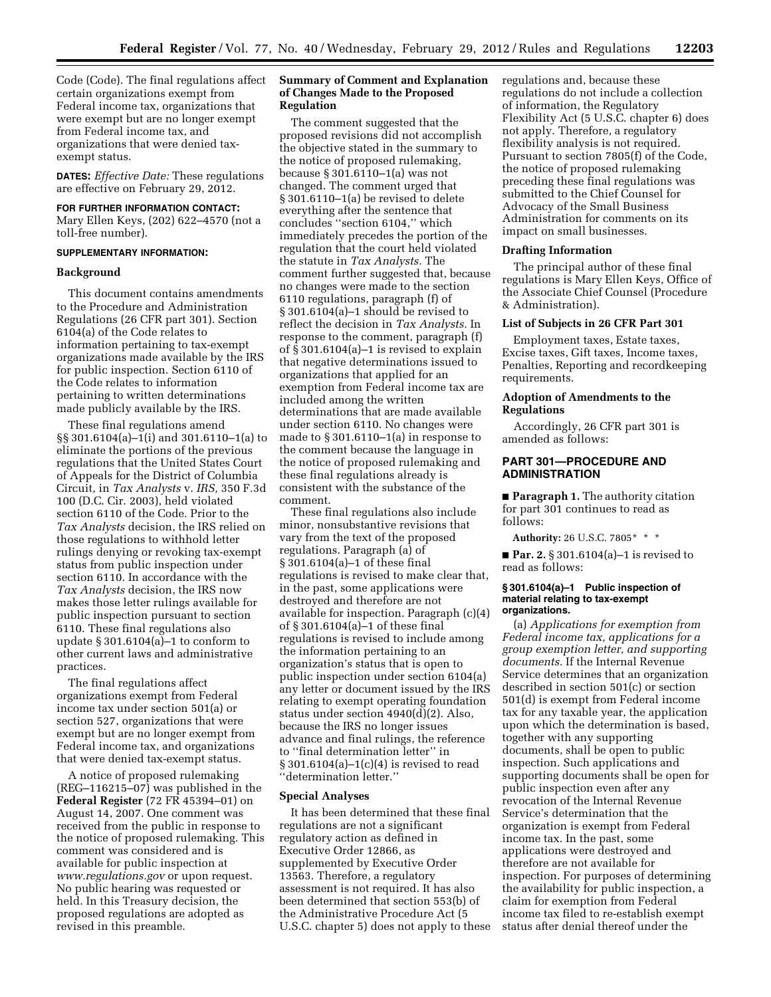Code (Code). The final regulations affect certain organizations exempt from Federal income tax, organizations that were exempt but are no longer exempt from Federal income tax, and organizations that were denied taxexempt status.

**DATES:** *Effective Date:* These regulations are effective on February 29, 2012.

### **FOR FURTHER INFORMATION CONTACT:**

Mary Ellen Keys, (202) 622–4570 (not a toll-free number).

#### **SUPPLEMENTARY INFORMATION:**

### **Background**

This document contains amendments to the Procedure and Administration Regulations (26 CFR part 301). Section 6104(a) of the Code relates to information pertaining to tax-exempt organizations made available by the IRS for public inspection. Section 6110 of the Code relates to information pertaining to written determinations made publicly available by the IRS.

These final regulations amend §§ 301.6104(a)–1(i) and 301.6110–1(a) to eliminate the portions of the previous regulations that the United States Court of Appeals for the District of Columbia Circuit, in *Tax Analysts* v. *IRS,* 350 F.3d 100 (D.C. Cir. 2003), held violated section 6110 of the Code. Prior to the *Tax Analysts* decision, the IRS relied on those regulations to withhold letter rulings denying or revoking tax-exempt status from public inspection under section 6110. In accordance with the *Tax Analysts* decision, the IRS now makes those letter rulings available for public inspection pursuant to section 6110. These final regulations also update § 301.6104(a)–1 to conform to other current laws and administrative practices.

The final regulations affect organizations exempt from Federal income tax under section 501(a) or section 527, organizations that were exempt but are no longer exempt from Federal income tax, and organizations that were denied tax-exempt status.

A notice of proposed rulemaking (REG–116215–07) was published in the **Federal Register** (72 FR 45394–01) on August 14, 2007. One comment was received from the public in response to the notice of proposed rulemaking. This comment was considered and is available for public inspection at *[www.regulations.gov](http://www.regulations.gov)* or upon request. No public hearing was requested or held. In this Treasury decision, the proposed regulations are adopted as revised in this preamble.

## **Summary of Comment and Explanation of Changes Made to the Proposed Regulation**

The comment suggested that the proposed revisions did not accomplish the objective stated in the summary to the notice of proposed rulemaking, because § 301.6110–1(a) was not changed. The comment urged that § 301.6110–1(a) be revised to delete everything after the sentence that concludes ''section 6104,'' which immediately precedes the portion of the regulation that the court held violated the statute in *Tax Analysts.* The comment further suggested that, because no changes were made to the section 6110 regulations, paragraph (f) of § 301.6104(a)–1 should be revised to reflect the decision in *Tax Analysts.* In response to the comment, paragraph (f) of § 301.6104(a)–1 is revised to explain that negative determinations issued to organizations that applied for an exemption from Federal income tax are included among the written determinations that are made available under section 6110. No changes were made to § 301.6110–1(a) in response to the comment because the language in the notice of proposed rulemaking and these final regulations already is consistent with the substance of the comment.

These final regulations also include minor, nonsubstantive revisions that vary from the text of the proposed regulations. Paragraph (a) of § 301.6104(a)–1 of these final regulations is revised to make clear that, in the past, some applications were destroyed and therefore are not available for inspection. Paragraph (c)(4) of § 301.6104(a)–1 of these final regulations is revised to include among the information pertaining to an organization's status that is open to public inspection under section 6104(a) any letter or document issued by the IRS relating to exempt operating foundation status under section 4940(d)(2). Also, because the IRS no longer issues advance and final rulings, the reference to ''final determination letter'' in § 301.6104(a)–1(c)(4) is revised to read ''determination letter.''

#### **Special Analyses**

It has been determined that these final regulations are not a significant regulatory action as defined in Executive Order 12866, as supplemented by Executive Order 13563. Therefore, a regulatory assessment is not required. It has also been determined that section 553(b) of the Administrative Procedure Act (5 U.S.C. chapter 5) does not apply to these regulations and, because these regulations do not include a collection of information, the Regulatory Flexibility Act (5 U.S.C. chapter 6) does not apply. Therefore, a regulatory flexibility analysis is not required. Pursuant to section 7805(f) of the Code, the notice of proposed rulemaking preceding these final regulations was submitted to the Chief Counsel for Advocacy of the Small Business Administration for comments on its impact on small businesses.

#### **Drafting Information**

The principal author of these final regulations is Mary Ellen Keys, Office of the Associate Chief Counsel (Procedure & Administration).

### **List of Subjects in 26 CFR Part 301**

Employment taxes, Estate taxes, Excise taxes, Gift taxes, Income taxes, Penalties, Reporting and recordkeeping requirements.

### **Adoption of Amendments to the Regulations**

Accordingly, 26 CFR part 301 is amended as follows:

## **PART 301—PROCEDURE AND ADMINISTRATION**

■ **Paragraph 1.** The authority citation for part 301 continues to read as follows:

**Authority:** 26 U.S.C. 7805\* \* \*

■ **Par. 2.** § 301.6104(a)–1 is revised to read as follows:

### **§ 301.6104(a)–1 Public inspection of material relating to tax-exempt organizations.**

(a) *Applications for exemption from Federal income tax, applications for a group exemption letter, and supporting documents.* If the Internal Revenue Service determines that an organization described in section 501(c) or section 501(d) is exempt from Federal income tax for any taxable year, the application upon which the determination is based, together with any supporting documents, shall be open to public inspection. Such applications and supporting documents shall be open for public inspection even after any revocation of the Internal Revenue Service's determination that the organization is exempt from Federal income tax. In the past, some applications were destroyed and therefore are not available for inspection. For purposes of determining the availability for public inspection, a claim for exemption from Federal income tax filed to re-establish exempt status after denial thereof under the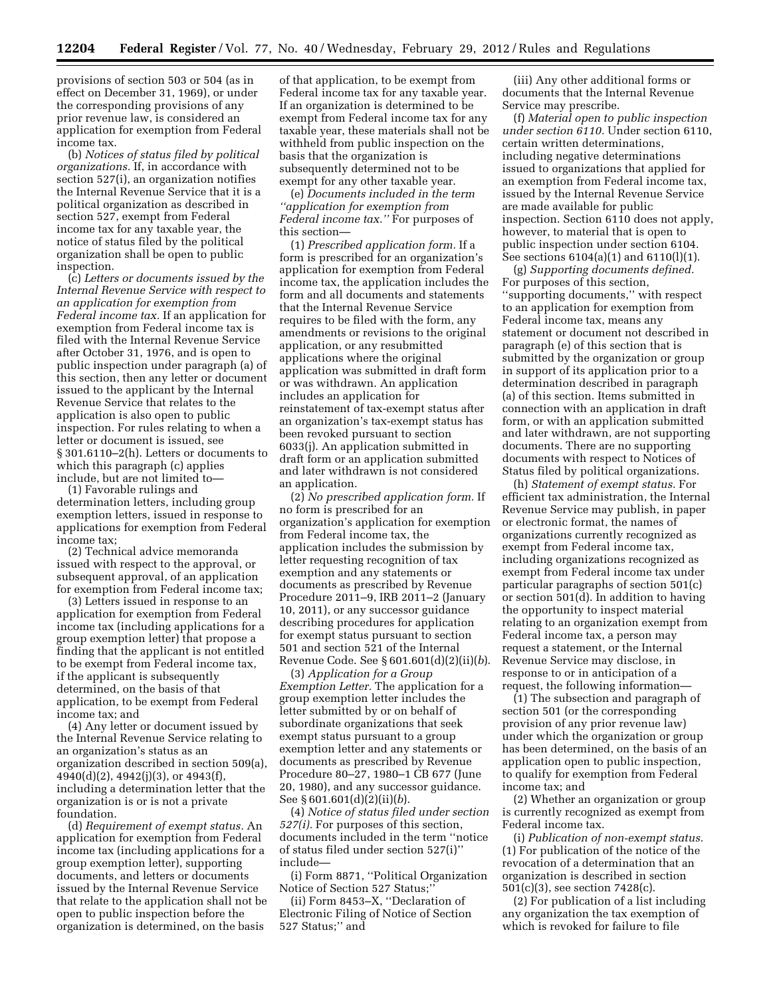provisions of section 503 or 504 (as in effect on December 31, 1969), or under the corresponding provisions of any prior revenue law, is considered an application for exemption from Federal income tax.

(b) *Notices of status filed by political organizations.* If, in accordance with section 527(i), an organization notifies the Internal Revenue Service that it is a political organization as described in section 527, exempt from Federal income tax for any taxable year, the notice of status filed by the political organization shall be open to public inspection.

(c) *Letters or documents issued by the Internal Revenue Service with respect to an application for exemption from Federal income tax.* If an application for exemption from Federal income tax is filed with the Internal Revenue Service after October 31, 1976, and is open to public inspection under paragraph (a) of this section, then any letter or document issued to the applicant by the Internal Revenue Service that relates to the application is also open to public inspection. For rules relating to when a letter or document is issued, see § 301.6110–2(h). Letters or documents to which this paragraph (c) applies include, but are not limited to—

(1) Favorable rulings and determination letters, including group exemption letters, issued in response to applications for exemption from Federal income tax;

(2) Technical advice memoranda issued with respect to the approval, or subsequent approval, of an application for exemption from Federal income tax;

(3) Letters issued in response to an application for exemption from Federal income tax (including applications for a group exemption letter) that propose a finding that the applicant is not entitled to be exempt from Federal income tax, if the applicant is subsequently determined, on the basis of that application, to be exempt from Federal income tax; and

(4) Any letter or document issued by the Internal Revenue Service relating to an organization's status as an organization described in section 509(a), 4940(d)(2), 4942(j)(3), or 4943(f), including a determination letter that the organization is or is not a private foundation.

(d) *Requirement of exempt status.* An application for exemption from Federal income tax (including applications for a group exemption letter), supporting documents, and letters or documents issued by the Internal Revenue Service that relate to the application shall not be open to public inspection before the organization is determined, on the basis

of that application, to be exempt from Federal income tax for any taxable year. If an organization is determined to be exempt from Federal income tax for any taxable year, these materials shall not be withheld from public inspection on the basis that the organization is subsequently determined not to be exempt for any other taxable year.

(e) *Documents included in the term ''application for exemption from Federal income tax.''* For purposes of this section—

(1) *Prescribed application form.* If a form is prescribed for an organization's application for exemption from Federal income tax, the application includes the form and all documents and statements that the Internal Revenue Service requires to be filed with the form, any amendments or revisions to the original application, or any resubmitted applications where the original application was submitted in draft form or was withdrawn. An application includes an application for reinstatement of tax-exempt status after an organization's tax-exempt status has been revoked pursuant to section 6033(j). An application submitted in draft form or an application submitted and later withdrawn is not considered an application.

(2) *No prescribed application form.* If no form is prescribed for an organization's application for exemption from Federal income tax, the application includes the submission by letter requesting recognition of tax exemption and any statements or documents as prescribed by Revenue Procedure 2011–9, IRB 2011–2 (January 10, 2011), or any successor guidance describing procedures for application for exempt status pursuant to section 501 and section 521 of the Internal Revenue Code. See § 601.601(d)(2)(ii)(*b*).

(3) *Application for a Group Exemption Letter.* The application for a group exemption letter includes the letter submitted by or on behalf of subordinate organizations that seek exempt status pursuant to a group exemption letter and any statements or documents as prescribed by Revenue Procedure 80–27, 1980–1 CB 677 (June 20, 1980), and any successor guidance. See § 601.601(d)(2)(ii)(*b*).

(4) *Notice of status filed under section 527(i).* For purposes of this section, documents included in the term ''notice of status filed under section 527(i)'' include—

(i) Form 8871, ''Political Organization Notice of Section 527 Status;''

(ii) Form 8453–X, ''Declaration of Electronic Filing of Notice of Section 527 Status;'' and

(iii) Any other additional forms or documents that the Internal Revenue Service may prescribe.

(f) *Material open to public inspection under section 6110.* Under section 6110, certain written determinations, including negative determinations issued to organizations that applied for an exemption from Federal income tax, issued by the Internal Revenue Service are made available for public inspection. Section 6110 does not apply, however, to material that is open to public inspection under section 6104. See sections 6104(a)(1) and 6110(l)(1).

(g) *Supporting documents defined.*  For purposes of this section, ''supporting documents,'' with respect to an application for exemption from Federal income tax, means any statement or document not described in paragraph (e) of this section that is submitted by the organization or group in support of its application prior to a determination described in paragraph (a) of this section. Items submitted in connection with an application in draft form, or with an application submitted and later withdrawn, are not supporting documents. There are no supporting documents with respect to Notices of Status filed by political organizations.

(h) *Statement of exempt status.* For efficient tax administration, the Internal Revenue Service may publish, in paper or electronic format, the names of organizations currently recognized as exempt from Federal income tax, including organizations recognized as exempt from Federal income tax under particular paragraphs of section 501(c) or section 501(d). In addition to having the opportunity to inspect material relating to an organization exempt from Federal income tax, a person may request a statement, or the Internal Revenue Service may disclose, in response to or in anticipation of a request, the following information—

(1) The subsection and paragraph of section 501 (or the corresponding provision of any prior revenue law) under which the organization or group has been determined, on the basis of an application open to public inspection, to qualify for exemption from Federal income tax; and

(2) Whether an organization or group is currently recognized as exempt from Federal income tax.

(i) *Publication of non-exempt status.*  (1) For publication of the notice of the revocation of a determination that an organization is described in section 501(c)(3), see section 7428(c).

(2) For publication of a list including any organization the tax exemption of which is revoked for failure to file